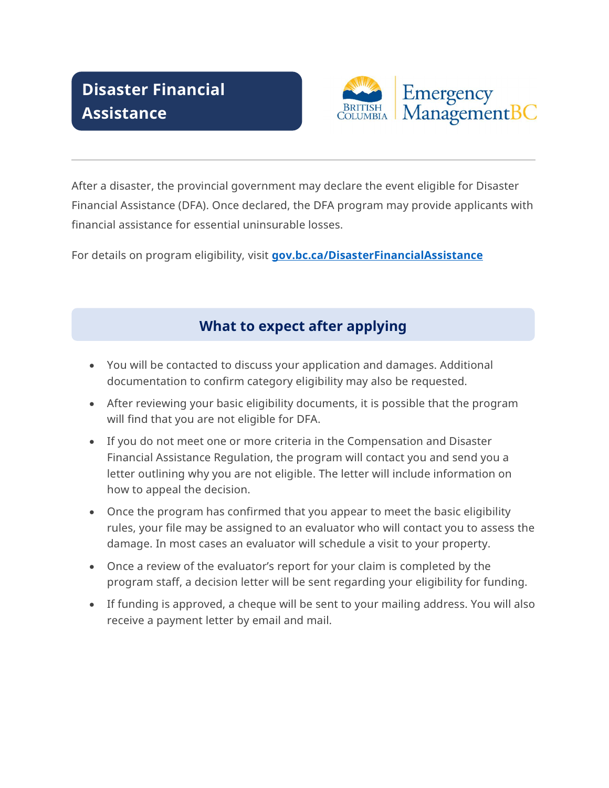# Disaster Financial **Assistance**



After a disaster, the provincial government may declare the event eligible for Disaster Financial Assistance (DFA). Once declared, the DFA program may provide applicants with financial assistance for essential uninsurable losses.

For details on program eligibility, visit gov.bc.ca/DisasterFinancialAssistance

## What to expect after applying

- You will be contacted to discuss your application and damages. Additional documentation to confirm category eligibility may also be requested.
- After reviewing your basic eligibility documents, it is possible that the program will find that you are not eligible for DFA.
- If you do not meet one or more criteria in the Compensation and Disaster Financial Assistance Regulation, the program will contact you and send you a letter outlining why you are not eligible. The letter will include information on how to appeal the decision.
- Once the program has confirmed that you appear to meet the basic eligibility rules, your file may be assigned to an evaluator who will contact you to assess the damage. In most cases an evaluator will schedule a visit to your property.
- Once a review of the evaluator's report for your claim is completed by the program staff, a decision letter will be sent regarding your eligibility for funding.
- If funding is approved, a cheque will be sent to your mailing address. You will also receive a payment letter by email and mail.